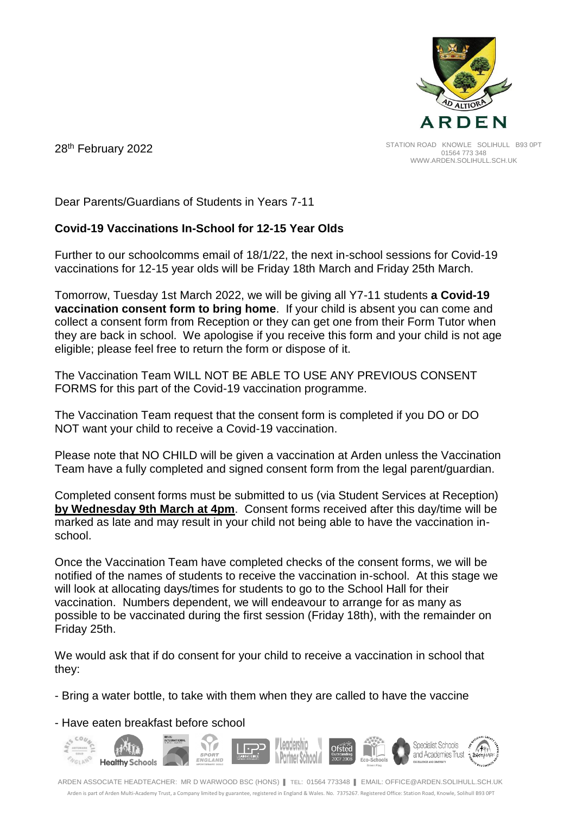

28th February 2022

Dear Parents/Guardians of Students in Years 7-11

## **Covid-19 Vaccinations In-School for 12-15 Year Olds**

Further to our schoolcomms email of 18/1/22, the next in-school sessions for Covid-19 vaccinations for 12-15 year olds will be Friday 18th March and Friday 25th March.

Tomorrow, Tuesday 1st March 2022, we will be giving all Y7-11 students **a Covid-19 vaccination consent form to bring home**. If your child is absent you can come and collect a consent form from Reception or they can get one from their Form Tutor when they are back in school. We apologise if you receive this form and your child is not age eligible; please feel free to return the form or dispose of it.

The Vaccination Team WILL NOT BE ABLE TO USE ANY PREVIOUS CONSENT FORMS for this part of the Covid-19 vaccination programme.

The Vaccination Team request that the consent form is completed if you DO or DO NOT want your child to receive a Covid-19 vaccination.

Please note that NO CHILD will be given a vaccination at Arden unless the Vaccination Team have a fully completed and signed consent form from the legal parent/guardian.

Completed consent forms must be submitted to us (via Student Services at Reception) **by Wednesday 9th March at 4pm**. Consent forms received after this day/time will be marked as late and may result in your child not being able to have the vaccination inschool.

Once the Vaccination Team have completed checks of the consent forms, we will be notified of the names of students to receive the vaccination in-school. At this stage we will look at allocating days/times for students to go to the School Hall for their vaccination. Numbers dependent, we will endeavour to arrange for as many as possible to be vaccinated during the first session (Friday 18th), with the remainder on Friday 25th.

We would ask that if do consent for your child to receive a vaccination in school that they:

- Bring a water bottle, to take with them when they are called to have the vaccine

- Have eaten breakfast before school